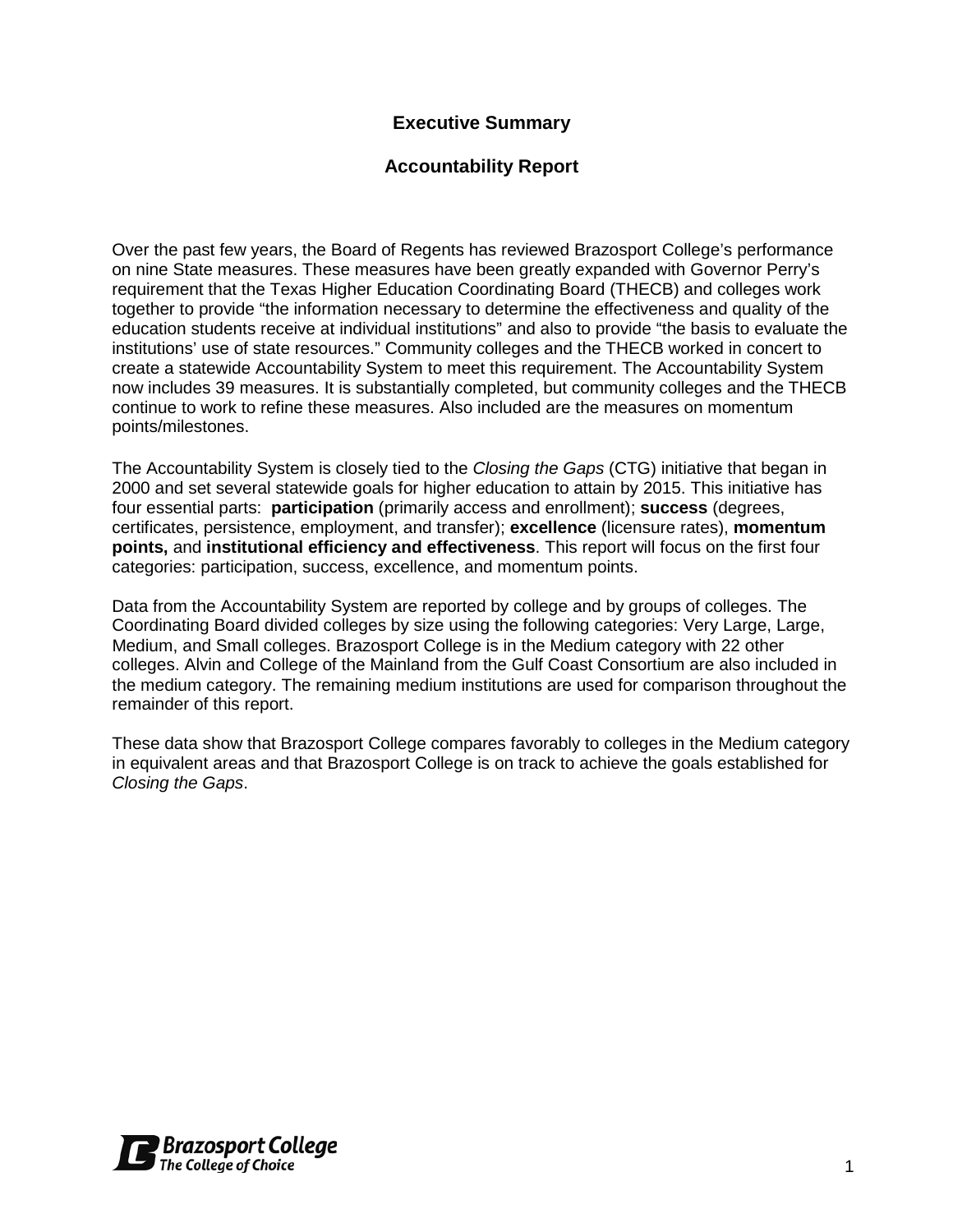## **Executive Summary**

#### **Accountability Report**

Over the past few years, the Board of Regents has reviewed Brazosport College's performance on nine State measures. These measures have been greatly expanded with Governor Perry's requirement that the Texas Higher Education Coordinating Board (THECB) and colleges work together to provide "the information necessary to determine the effectiveness and quality of the education students receive at individual institutions" and also to provide "the basis to evaluate the institutions' use of state resources." Community colleges and the THECB worked in concert to create a statewide Accountability System to meet this requirement. The Accountability System now includes 39 measures. It is substantially completed, but community colleges and the THECB continue to work to refine these measures. Also included are the measures on momentum points/milestones.

The Accountability System is closely tied to the *Closing the Gaps* (CTG) initiative that began in 2000 and set several statewide goals for higher education to attain by 2015. This initiative has four essential parts: **participation** (primarily access and enrollment); **success** (degrees, certificates, persistence, employment, and transfer); **excellence** (licensure rates), **momentum points,** and **institutional efficiency and effectiveness**. This report will focus on the first four categories: participation, success, excellence, and momentum points.

Data from the Accountability System are reported by college and by groups of colleges. The Coordinating Board divided colleges by size using the following categories: Very Large, Large, Medium, and Small colleges. Brazosport College is in the Medium category with 22 other colleges. Alvin and College of the Mainland from the Gulf Coast Consortium are also included in the medium category. The remaining medium institutions are used for comparison throughout the remainder of this report.

These data show that Brazosport College compares favorably to colleges in the Medium category in equivalent areas and that Brazosport College is on track to achieve the goals established for *Closing the Gaps*.

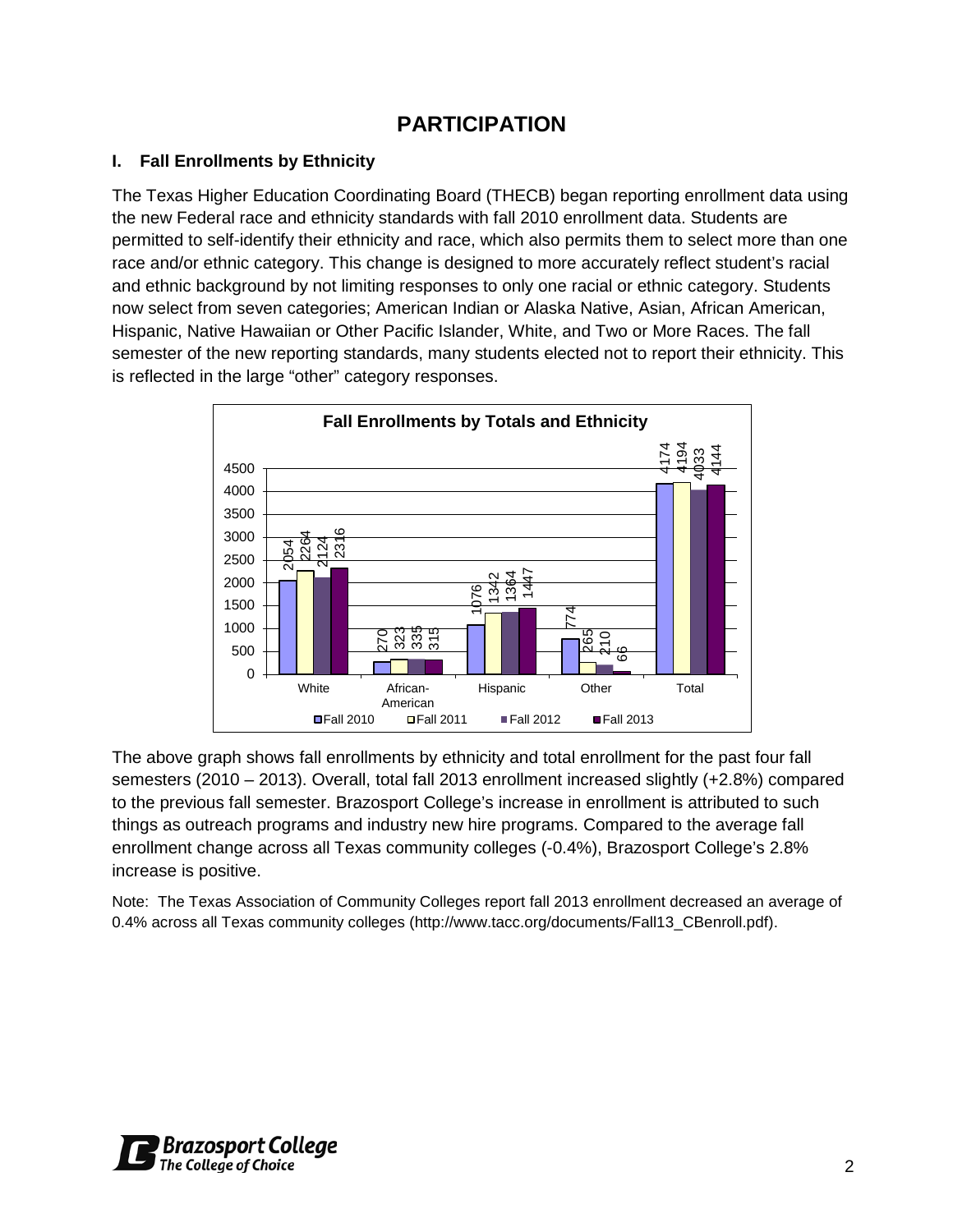# **PARTICIPATION**

## **I. Fall Enrollments by Ethnicity**

The Texas Higher Education Coordinating Board (THECB) began reporting enrollment data using the new Federal race and ethnicity standards with fall 2010 enrollment data. Students are permitted to self-identify their ethnicity and race, which also permits them to select more than one race and/or ethnic category. This change is designed to more accurately reflect student's racial and ethnic background by not limiting responses to only one racial or ethnic category. Students now select from seven categories; American Indian or Alaska Native, Asian, African American, Hispanic, Native Hawaiian or Other Pacific Islander, White, and Two or More Races. The fall semester of the new reporting standards, many students elected not to report their ethnicity. This is reflected in the large "other" category responses.



The above graph shows fall enrollments by ethnicity and total enrollment for the past four fall semesters (2010 – 2013). Overall, total fall 2013 enrollment increased slightly (+2.8%) compared to the previous fall semester. Brazosport College's increase in enrollment is attributed to such things as outreach programs and industry new hire programs. Compared to the average fall enrollment change across all Texas community colleges (-0.4%), Brazosport College's 2.8% increase is positive.

Note: The Texas Association of Community Colleges report fall 2013 enrollment decreased an average of 0.4% across all Texas community colleges (http://www.tacc.org/documents/Fall13\_CBenroll.pdf).

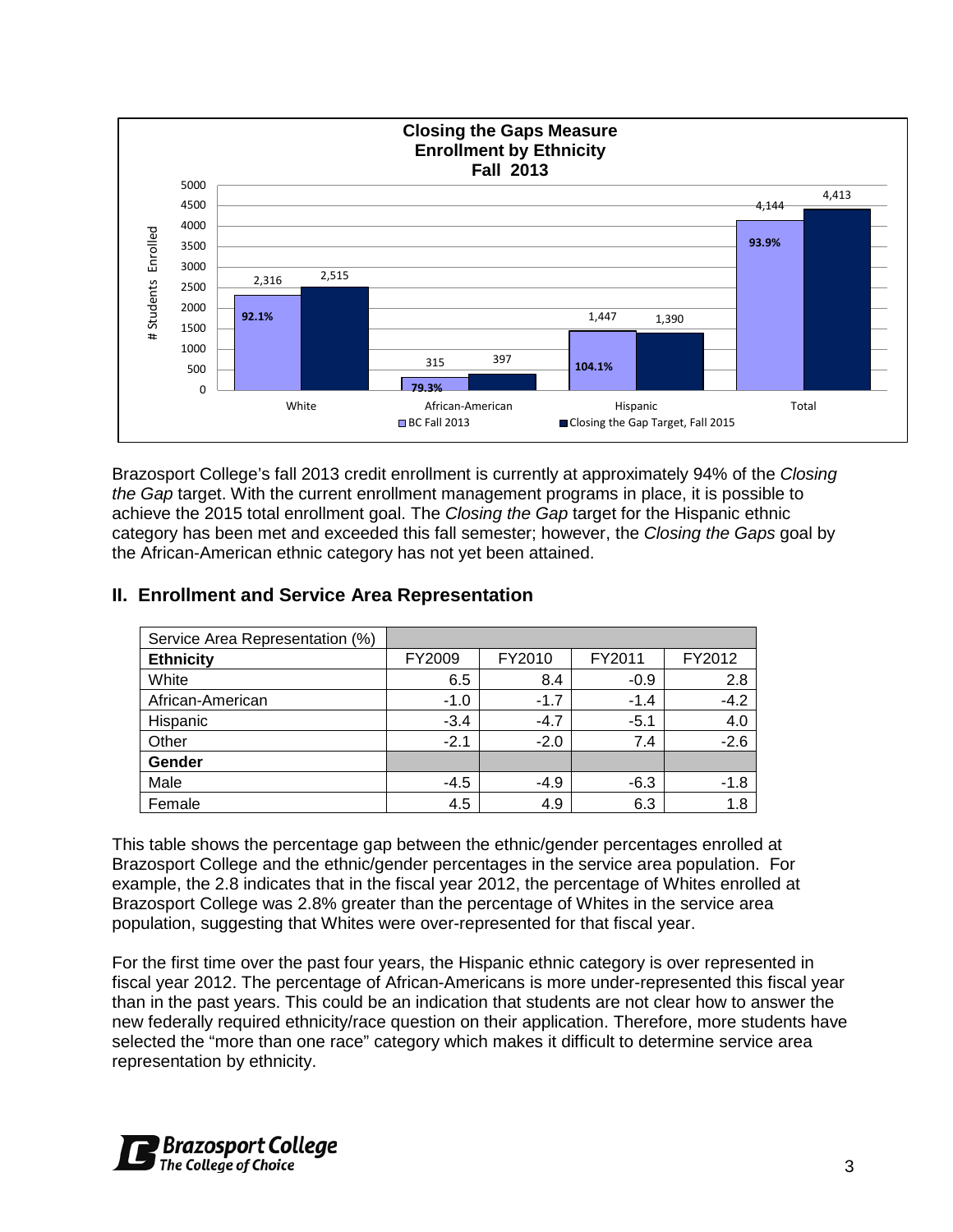

Brazosport College's fall 2013 credit enrollment is currently at approximately 94% of the *Closing the Gap* target. With the current enrollment management programs in place, it is possible to achieve the 2015 total enrollment goal. The *Closing the Gap* target for the Hispanic ethnic category has been met and exceeded this fall semester; however, the *Closing the Gaps* goal by the African-American ethnic category has not yet been attained.

| Service Area Representation (%) |        |        |        |        |
|---------------------------------|--------|--------|--------|--------|
| <b>Ethnicity</b>                | FY2009 | FY2010 | FY2011 | FY2012 |
| White                           | 6.5    | 8.4    | $-0.9$ | 2.8    |
| African-American                | $-1.0$ | $-1.7$ | $-1.4$ | $-4.2$ |
| Hispanic                        | $-3.4$ | $-4.7$ | $-5.1$ | 4.0    |
| Other                           | $-2.1$ | $-2.0$ | 7.4    | $-2.6$ |
| Gender                          |        |        |        |        |
| Male                            | $-4.5$ | $-4.9$ | $-6.3$ | $-1.8$ |
| Female                          | 4.5    | 4.9    | 6.3    | 1.8    |

## **II. Enrollment and Service Area Representation**

This table shows the percentage gap between the ethnic/gender percentages enrolled at Brazosport College and the ethnic/gender percentages in the service area population. For example, the 2.8 indicates that in the fiscal year 2012, the percentage of Whites enrolled at Brazosport College was 2.8% greater than the percentage of Whites in the service area population, suggesting that Whites were over-represented for that fiscal year.

For the first time over the past four years, the Hispanic ethnic category is over represented in fiscal year 2012. The percentage of African-Americans is more under-represented this fiscal year than in the past years. This could be an indication that students are not clear how to answer the new federally required ethnicity/race question on their application. Therefore, more students have selected the "more than one race" category which makes it difficult to determine service area representation by ethnicity.

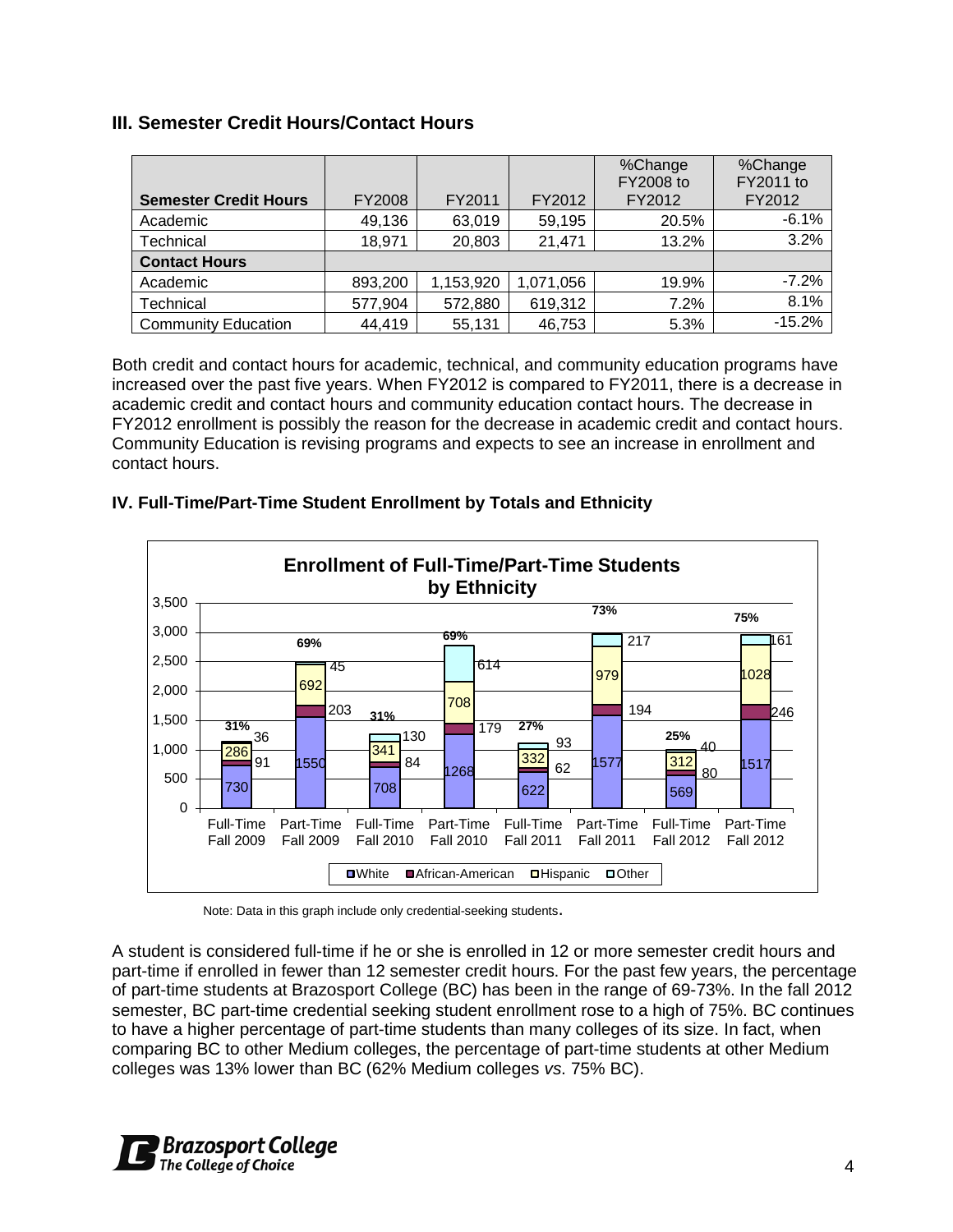## **III. Semester Credit Hours/Contact Hours**

| <b>Semester Credit Hours</b> | FY2008  | FY2011    | FY2012    | %Change<br>FY2008 to<br>FY2012 | %Change<br>FY2011 to<br>FY2012 |
|------------------------------|---------|-----------|-----------|--------------------------------|--------------------------------|
| Academic                     | 49,136  | 63,019    | 59,195    | 20.5%                          | $-6.1%$                        |
| Technical                    | 18,971  | 20,803    | 21,471    | 13.2%                          | 3.2%                           |
| <b>Contact Hours</b>         |         |           |           |                                |                                |
| Academic                     | 893,200 | 1,153,920 | 1,071,056 | 19.9%                          | $-7.2%$                        |
| Technical                    | 577,904 | 572,880   | 619,312   | 7.2%                           | 8.1%                           |
| <b>Community Education</b>   | 44,419  | 55,131    | 46,753    | 5.3%                           | $-15.2%$                       |

Both credit and contact hours for academic, technical, and community education programs have increased over the past five years. When FY2012 is compared to FY2011, there is a decrease in academic credit and contact hours and community education contact hours. The decrease in FY2012 enrollment is possibly the reason for the decrease in academic credit and contact hours. Community Education is revising programs and expects to see an increase in enrollment and contact hours.

#### **IV. Full-Time/Part-Time Student Enrollment by Totals and Ethnicity**



Note: Data in this graph include only credential-seeking students.

A student is considered full-time if he or she is enrolled in 12 or more semester credit hours and part-time if enrolled in fewer than 12 semester credit hours. For the past few years, the percentage of part-time students at Brazosport College (BC) has been in the range of 69-73%. In the fall 2012 semester, BC part-time credential seeking student enrollment rose to a high of 75%. BC continues to have a higher percentage of part-time students than many colleges of its size. In fact, when comparing BC to other Medium colleges, the percentage of part-time students at other Medium colleges was 13% lower than BC (62% Medium colleges *vs*. 75% BC).

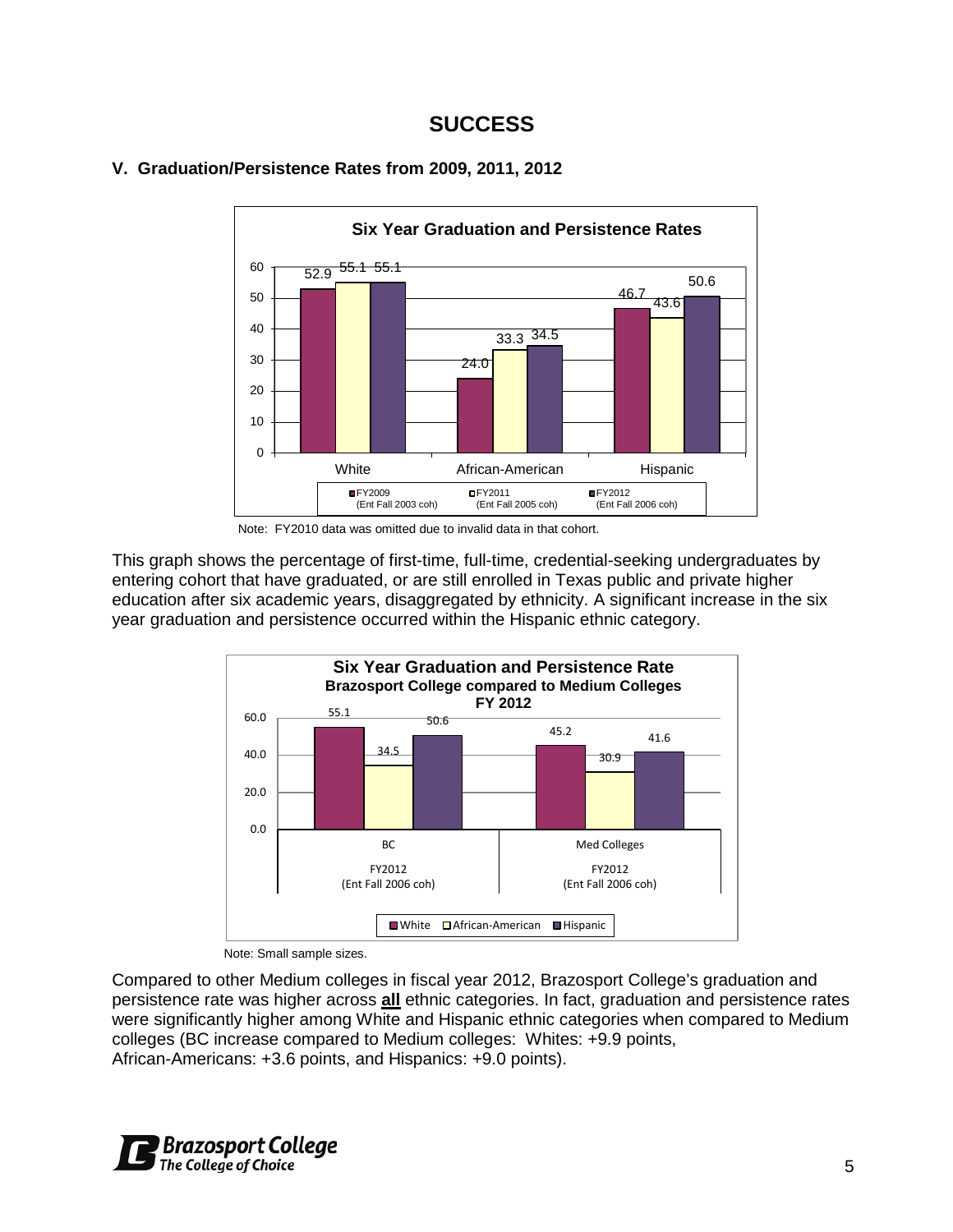## **SUCCESS**





Note: FY2010 data was omitted due to invalid data in that cohort.

This graph shows the percentage of first-time, full-time, credential-seeking undergraduates by entering cohort that have graduated, or are still enrolled in Texas public and private higher education after six academic years, disaggregated by ethnicity. A significant increase in the six year graduation and persistence occurred within the Hispanic ethnic category.



Note: Small sample sizes.

Compared to other Medium colleges in fiscal year 2012, Brazosport College's graduation and persistence rate was higher across **all** ethnic categories. In fact, graduation and persistence rates were significantly higher among White and Hispanic ethnic categories when compared to Medium colleges (BC increase compared to Medium colleges: Whites: +9.9 points, African-Americans: +3.6 points, and Hispanics: +9.0 points).

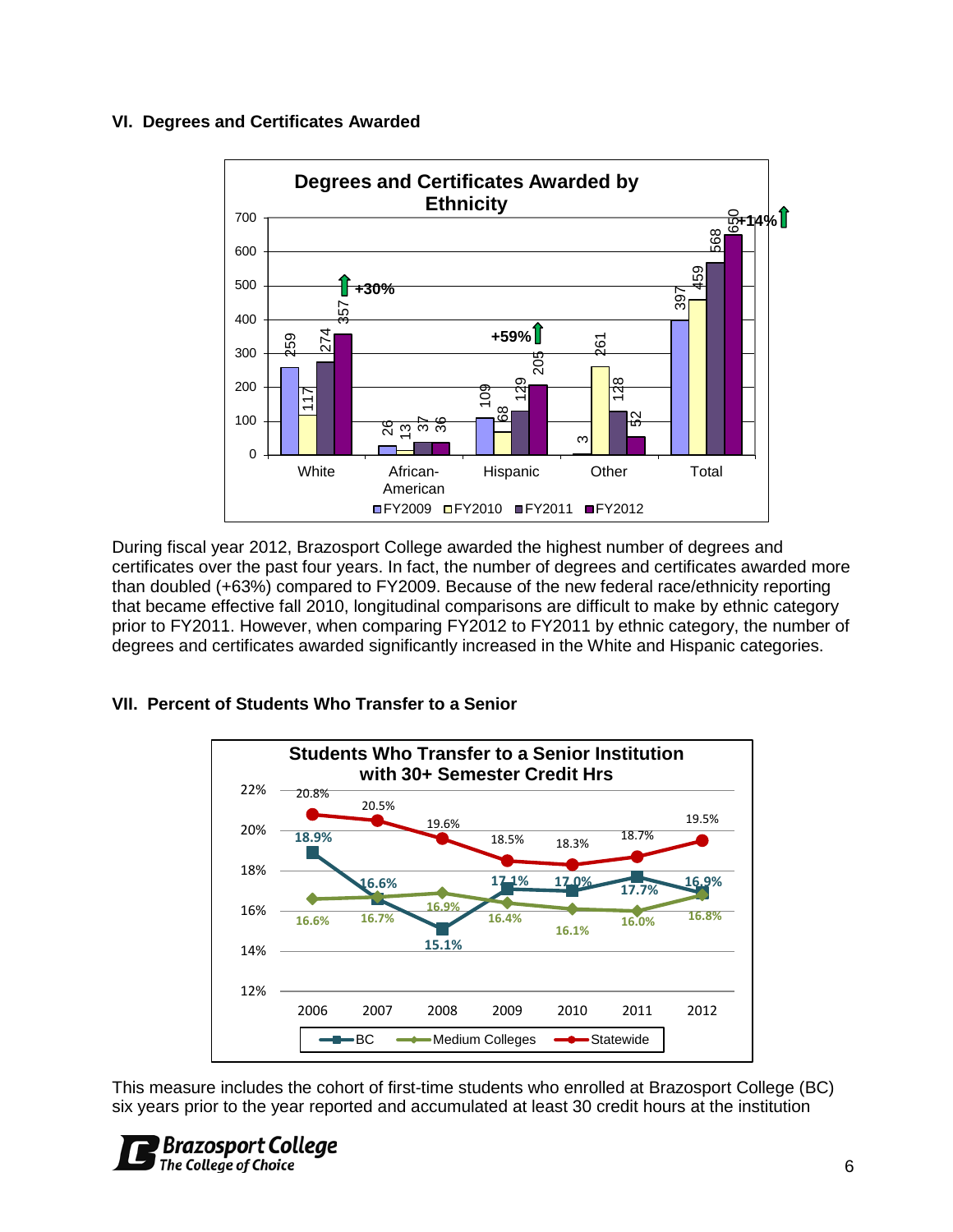#### **VI. Degrees and Certificates Awarded**



During fiscal year 2012, Brazosport College awarded the highest number of degrees and certificates over the past four years. In fact, the number of degrees and certificates awarded more than doubled (+63%) compared to FY2009. Because of the new federal race/ethnicity reporting that became effective fall 2010, longitudinal comparisons are difficult to make by ethnic category prior to FY2011. However, when comparing FY2012 to FY2011 by ethnic category, the number of degrees and certificates awarded significantly increased in the White and Hispanic categories.

#### **VII. Percent of Students Who Transfer to a Senior**



This measure includes the cohort of first-time students who enrolled at Brazosport College (BC) six years prior to the year reported and accumulated at least 30 credit hours at the institution

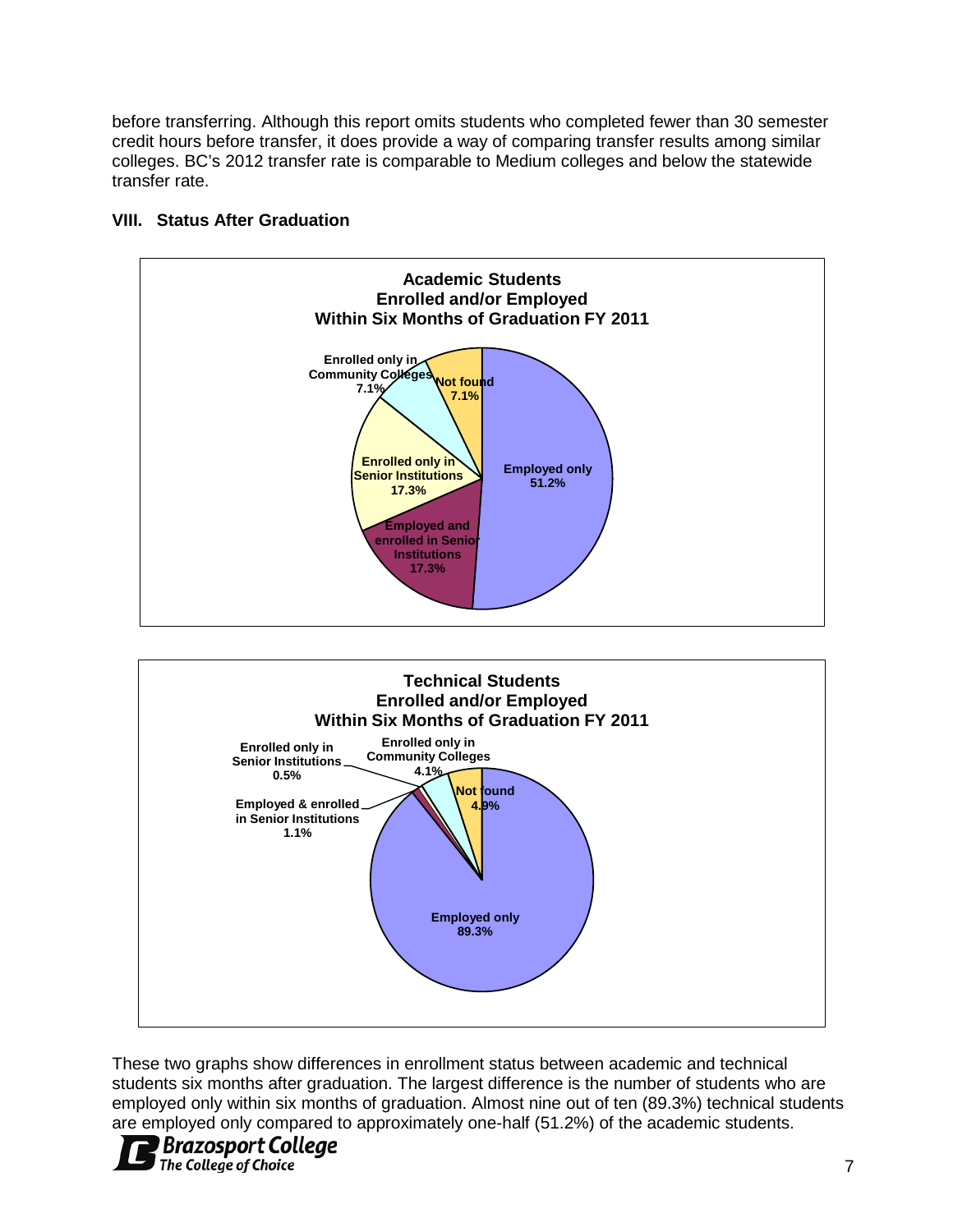before transferring. Although this report omits students who completed fewer than 30 semester credit hours before transfer, it does provide a way of comparing transfer results among similar colleges. BC's 2012 transfer rate is comparable to Medium colleges and below the statewide transfer rate.



#### **VIII. Status After Graduation**



These two graphs show differences in enrollment status between academic and technical students six months after graduation. The largest difference is the number of students who are employed only within six months of graduation. Almost nine out of ten (89.3%) technical students are employed only compared to approximately one-half (51.2%) of the academic students.

## **Brazosport College** The College of Choice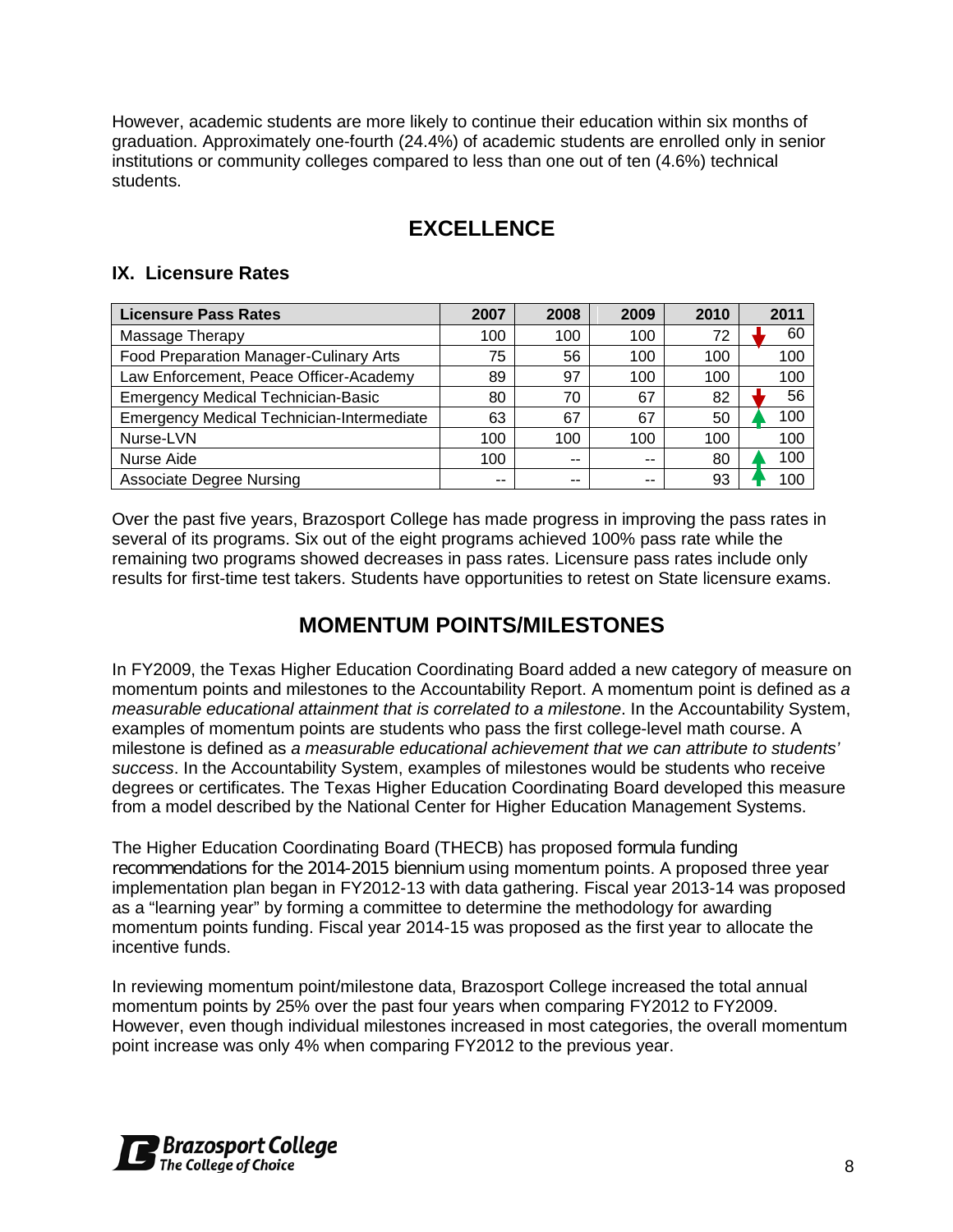However, academic students are more likely to continue their education within six months of graduation. Approximately one-fourth (24.4%) of academic students are enrolled only in senior institutions or community colleges compared to less than one out of ten (4.6%) technical students.

# **EXCELLENCE**

#### **IX. Licensure Rates**

| <b>Licensure Pass Rates</b>                      | 2007 | 2008 | 2009 | 2010 | 2011 |
|--------------------------------------------------|------|------|------|------|------|
| Massage Therapy                                  | 100  | 100  | 100  | 72   | 60   |
| Food Preparation Manager-Culinary Arts           | 75   | 56   | 100  | 100  | 100  |
| Law Enforcement, Peace Officer-Academy           | 89   | 97   | 100  | 100  | 100  |
| <b>Emergency Medical Technician-Basic</b>        | 80   | 70   | 67   | 82   | 56   |
| <b>Emergency Medical Technician-Intermediate</b> | 63   | 67   | 67   | 50   | 100  |
| Nurse-LVN                                        | 100  | 100  | 100  | 100  | 100  |
| Nurse Aide                                       | 100  | $-$  | --   | 80   | 100  |
| <b>Associate Degree Nursing</b>                  | --   | --   |      | 93   | 100  |

Over the past five years, Brazosport College has made progress in improving the pass rates in several of its programs. Six out of the eight programs achieved 100% pass rate while the remaining two programs showed decreases in pass rates. Licensure pass rates include only results for first-time test takers. Students have opportunities to retest on State licensure exams.

# **MOMENTUM POINTS/MILESTONES**

In FY2009, the Texas Higher Education Coordinating Board added a new category of measure on momentum points and milestones to the Accountability Report. A momentum point is defined as *a measurable educational attainment that is correlated to a milestone*. In the Accountability System, examples of momentum points are students who pass the first college-level math course. A milestone is defined as *a measurable educational achievement that we can attribute to students' success*. In the Accountability System, examples of milestones would be students who receive degrees or certificates. The Texas Higher Education Coordinating Board developed this measure from a model described by the National Center for Higher Education Management Systems.

The Higher Education Coordinating Board (THECB) has proposed formula funding recommendations for the 2014-2015 biennium using momentum points. A proposed three year implementation plan began in FY2012-13 with data gathering. Fiscal year 2013-14 was proposed as a "learning year" by forming a committee to determine the methodology for awarding momentum points funding. Fiscal year 2014-15 was proposed as the first year to allocate the incentive funds.

In reviewing momentum point/milestone data, Brazosport College increased the total annual momentum points by 25% over the past four years when comparing FY2012 to FY2009. However, even though individual milestones increased in most categories, the overall momentum point increase was only 4% when comparing FY2012 to the previous year.